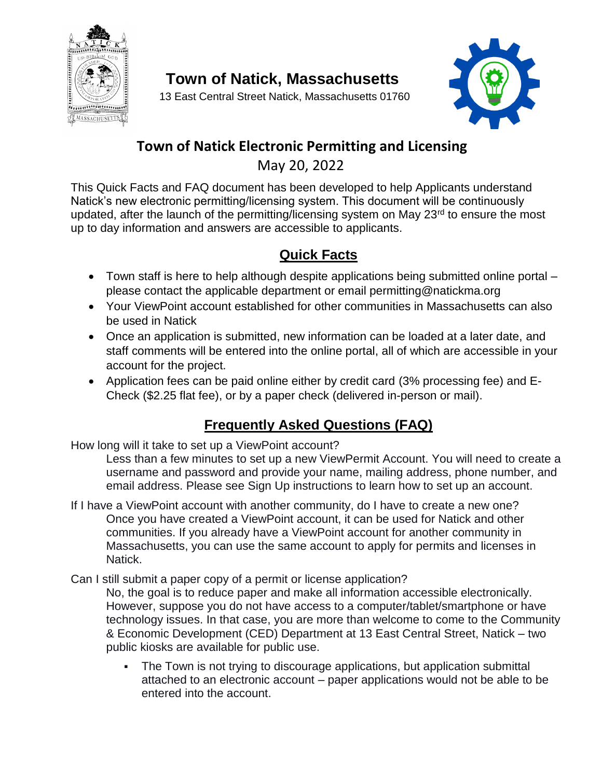

**Town of Natick, Massachusetts**

13 East Central Street Natick, Massachusetts 01760



## **Town of Natick Electronic Permitting and Licensing**

May 20, 2022

This Quick Facts and FAQ document has been developed to help Applicants understand Natick's new electronic permitting/licensing system. This document will be continuously updated, after the launch of the permitting/licensing system on May 23<sup>rd</sup> to ensure the most up to day information and answers are accessible to applicants.

## **Quick Facts**

- Town staff is here to help although despite applications being submitted online portal please contact the applicable department or email permitting@natickma.org
- Your ViewPoint account established for other communities in Massachusetts can also be used in Natick
- Once an application is submitted, new information can be loaded at a later date, and staff comments will be entered into the online portal, all of which are accessible in your account for the project.
- Application fees can be paid online either by credit card (3% processing fee) and E-Check (\$2.25 flat fee), or by a paper check (delivered in-person or mail).

## **Frequently Asked Questions (FAQ)**

How long will it take to set up a ViewPoint account?

Less than a few minutes to set up a new ViewPermit Account. You will need to create a username and password and provide your name, mailing address, phone number, and email address. Please see Sign Up instructions to learn how to set up an account.

- If I have a ViewPoint account with another community, do I have to create a new one? Once you have created a ViewPoint account, it can be used for Natick and other communities. If you already have a ViewPoint account for another community in Massachusetts, you can use the same account to apply for permits and licenses in Natick.
- Can I still submit a paper copy of a permit or license application? No, the goal is to reduce paper and make all information accessible electronically. However, suppose you do not have access to a computer/tablet/smartphone or have technology issues. In that case, you are more than welcome to come to the Community & Economic Development (CED) Department at 13 East Central Street, Natick – two public kiosks are available for public use.
	- The Town is not trying to discourage applications, but application submittal attached to an electronic account – paper applications would not be able to be entered into the account.